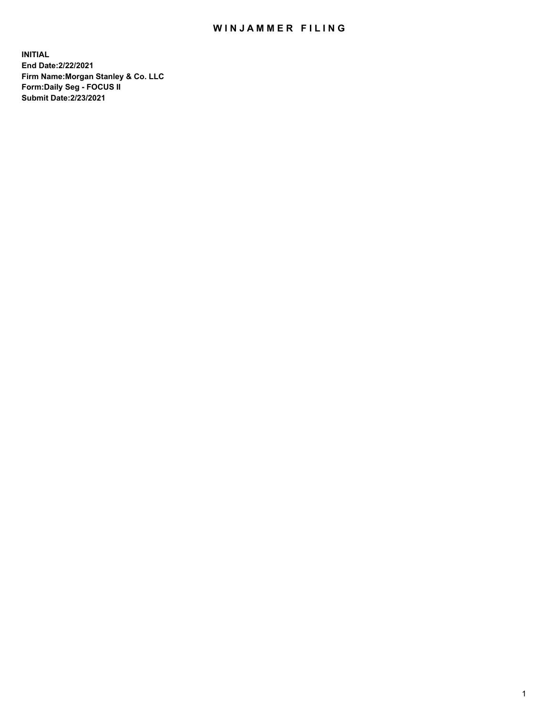## WIN JAMMER FILING

**INITIAL End Date:2/22/2021 Firm Name:Morgan Stanley & Co. LLC Form:Daily Seg - FOCUS II Submit Date:2/23/2021**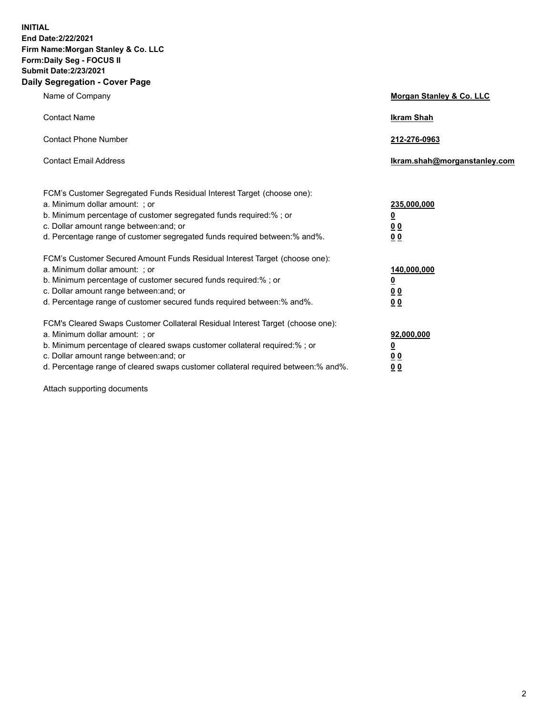**INITIAL End Date:2/22/2021 Firm Name:Morgan Stanley & Co. LLC Form:Daily Seg - FOCUS II Submit Date:2/23/2021 Daily Segregation - Cover Page**

| Name of Company                                                                                                                                                                                                                                                                                                                | Morgan Stanley & Co. LLC                                    |
|--------------------------------------------------------------------------------------------------------------------------------------------------------------------------------------------------------------------------------------------------------------------------------------------------------------------------------|-------------------------------------------------------------|
| <b>Contact Name</b>                                                                                                                                                                                                                                                                                                            | <b>Ikram Shah</b>                                           |
| <b>Contact Phone Number</b>                                                                                                                                                                                                                                                                                                    | 212-276-0963                                                |
| <b>Contact Email Address</b>                                                                                                                                                                                                                                                                                                   | Ikram.shah@morganstanley.com                                |
| FCM's Customer Segregated Funds Residual Interest Target (choose one):<br>a. Minimum dollar amount: ; or<br>b. Minimum percentage of customer segregated funds required:% ; or<br>c. Dollar amount range between: and; or<br>d. Percentage range of customer segregated funds required between: % and %.                       | 235,000,000<br><u>0</u><br>00<br>0 <sub>0</sub>             |
| FCM's Customer Secured Amount Funds Residual Interest Target (choose one):<br>a. Minimum dollar amount: ; or<br>b. Minimum percentage of customer secured funds required:%; or<br>c. Dollar amount range between: and; or<br>d. Percentage range of customer secured funds required between:% and%.                            | 140,000,000<br><u>0</u><br>0 <sub>0</sub><br>0 <sub>0</sub> |
| FCM's Cleared Swaps Customer Collateral Residual Interest Target (choose one):<br>a. Minimum dollar amount: ; or<br>b. Minimum percentage of cleared swaps customer collateral required:% ; or<br>c. Dollar amount range between: and; or<br>d. Percentage range of cleared swaps customer collateral required between:% and%. | 92,000,000<br><u>0</u><br>0 Q<br>0 <sub>0</sub>             |

Attach supporting documents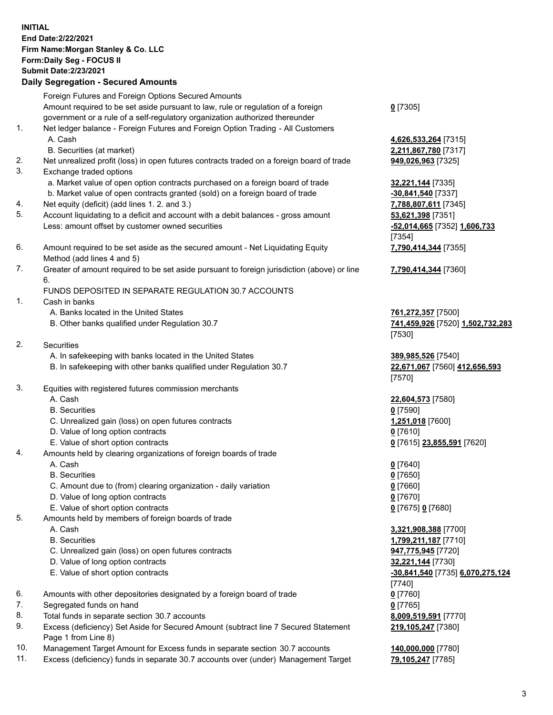## **INITIAL End Date:2/22/2021 Firm Name:Morgan Stanley & Co. LLC Form:Daily Seg - FOCUS II Submit Date:2/23/2021**

## **Daily Segregation - Secured Amounts**

Foreign Futures and Foreign Options Secured Amounts Amount required to be set aside pursuant to law, rule or regulation of a foreign government or a rule of a self-regulatory organization authorized thereunder 1. Net ledger balance - Foreign Futures and Foreign Option Trading - All Customers A. Cash **4,626,533,264** [7315] B. Securities (at market) **2,211,867,780** [7317] 2. Net unrealized profit (loss) in open futures contracts traded on a foreign board of trade **949,026,963** [7325] 3. Exchange traded options a. Market value of open option contracts purchased on a foreign board of trade **32,221,144** [7335] b. Market value of open contracts granted (sold) on a foreign board of trade **-30,841,540** [7337] 4. Net equity (deficit) (add lines 1. 2. and 3.) **7,788,807,611** [7345] 5. Account liquidating to a deficit and account with a debit balances - gross amount **53,621,398** [7351] Less: amount offset by customer owned securities **-52,014,665** [7352] **1,606,733**

- 6. Amount required to be set aside as the secured amount Net Liquidating Equity Method (add lines 4 and 5)
- 7. Greater of amount required to be set aside pursuant to foreign jurisdiction (above) or line 6.

## FUNDS DEPOSITED IN SEPARATE REGULATION 30.7 ACCOUNTS

- 1. Cash in banks
	- A. Banks located in the United States **761,272,357** [7500]
	- B. Other banks qualified under Regulation 30.7 **741,459,926** [7520] **1,502,732,283**
- 2. Securities
	- A. In safekeeping with banks located in the United States **389,985,526** [7540]
	- B. In safekeeping with other banks qualified under Regulation 30.7 **22,671,067** [7560] **412,656,593**
- 3. Equities with registered futures commission merchants
	-
	- B. Securities **0** [7590]
	- C. Unrealized gain (loss) on open futures contracts **1,251,018** [7600]
	- D. Value of long option contracts **0** [7610]
	- E. Value of short option contracts **0** [7615] **23,855,591** [7620]
- 4. Amounts held by clearing organizations of foreign boards of trade
	-
	- B. Securities **0** [7650]
	- C. Amount due to (from) clearing organization daily variation **0** [7660]
	- D. Value of long option contracts **0** [7670]
	- E. Value of short option contracts **0** [7675] **0** [7680]
- 5. Amounts held by members of foreign boards of trade
	-
	-
	- C. Unrealized gain (loss) on open futures contracts **947,775,945** [7720]
	- D. Value of long option contracts **32,221,144** [7730]
	-
- 6. Amounts with other depositories designated by a foreign board of trade **0** [7760]
- 7. Segregated funds on hand **0** [7765]
- 8. Total funds in separate section 30.7 accounts **8,009,519,591** [7770]
- 9. Excess (deficiency) Set Aside for Secured Amount (subtract line 7 Secured Statement Page 1 from Line 8)
- 10. Management Target Amount for Excess funds in separate section 30.7 accounts **140,000,000** [7780]
- 11. Excess (deficiency) funds in separate 30.7 accounts over (under) Management Target **79,105,247** [7785]

**0** [7305]

[7354] **7,790,414,344** [7355]

**7,790,414,344** [7360]

[7530]

[7570]

A. Cash **22,604,573** [7580]

A. Cash **0** [7640]

 A. Cash **3,321,908,388** [7700] B. Securities **1,799,211,187** [7710] E. Value of short option contracts **-30,841,540** [7735] **6,070,275,124** [7740] **219,105,247** [7380]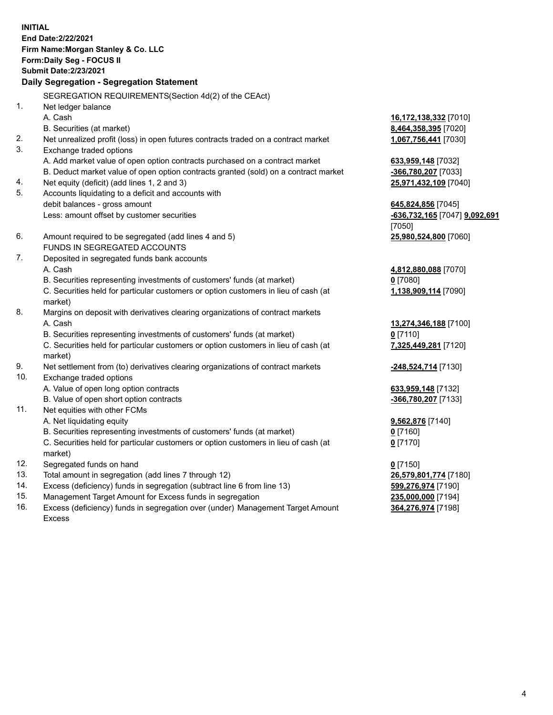**INITIAL End Date:2/22/2021 Firm Name:Morgan Stanley & Co. LLC Form:Daily Seg - FOCUS II Submit Date:2/23/2021 Daily Segregation - Segregation Statement** SEGREGATION REQUIREMENTS(Section 4d(2) of the CEAct) 1. Net ledger balance A. Cash **16,172,138,332** [7010] B. Securities (at market) **8,464,358,395** [7020] 2. Net unrealized profit (loss) in open futures contracts traded on a contract market **1,067,756,441** [7030] 3. Exchange traded options A. Add market value of open option contracts purchased on a contract market **633,959,148** [7032] B. Deduct market value of open option contracts granted (sold) on a contract market **-366,780,207** [7033] 4. Net equity (deficit) (add lines 1, 2 and 3) **25,971,432,109** [7040] 5. Accounts liquidating to a deficit and accounts with debit balances - gross amount **645,824,856** [7045] Less: amount offset by customer securities **-636,732,165** [7047] **9,092,691** [7050] 6. Amount required to be segregated (add lines 4 and 5) **25,980,524,800** [7060] FUNDS IN SEGREGATED ACCOUNTS 7. Deposited in segregated funds bank accounts A. Cash **4,812,880,088** [7070] B. Securities representing investments of customers' funds (at market) **0** [7080] C. Securities held for particular customers or option customers in lieu of cash (at market) **1,138,909,114** [7090] 8. Margins on deposit with derivatives clearing organizations of contract markets A. Cash **13,274,346,188** [7100] B. Securities representing investments of customers' funds (at market) **0** [7110] C. Securities held for particular customers or option customers in lieu of cash (at market) **7,325,449,281** [7120] 9. Net settlement from (to) derivatives clearing organizations of contract markets **-248,524,714** [7130] 10. Exchange traded options A. Value of open long option contracts **633,959,148** [7132] B. Value of open short option contracts **and the set of our original contracts -366,780,207** [7133] 11. Net equities with other FCMs A. Net liquidating equity **9,562,876** [7140] B. Securities representing investments of customers' funds (at market) **0** [7160] C. Securities held for particular customers or option customers in lieu of cash (at market) **0** [7170] 12. Segregated funds on hand **0** [7150] 13. Total amount in segregation (add lines 7 through 12) **26,579,801,774** [7180] 14. Excess (deficiency) funds in segregation (subtract line 6 from line 13) **599,276,974** [7190]

- 15. Management Target Amount for Excess funds in segregation **235,000,000** [7194]
- 16. Excess (deficiency) funds in segregation over (under) Management Target Amount Excess

**364,276,974** [7198]